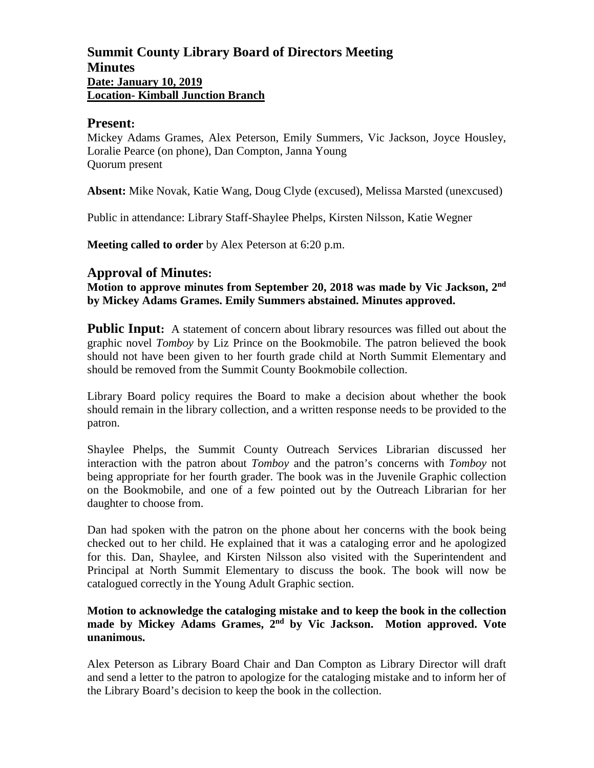# **Summit County Library Board of Directors Meeting Minutes Date: January 10, 2019 Location- Kimball Junction Branch**

## **Present:**

Mickey Adams Grames, Alex Peterson, Emily Summers, Vic Jackson, Joyce Housley, Loralie Pearce (on phone), Dan Compton, Janna Young Quorum present

**Absent:** Mike Novak, Katie Wang, Doug Clyde (excused), Melissa Marsted (unexcused)

Public in attendance: Library Staff-Shaylee Phelps, Kirsten Nilsson, Katie Wegner

**Meeting called to order** by Alex Peterson at 6:20 p.m.

# **Approval of Minutes:**

**Motion to approve minutes from September 20, 2018 was made by Vic Jackson, 2nd by Mickey Adams Grames. Emily Summers abstained. Minutes approved.**

**Public Input:** A statement of concern about library resources was filled out about the graphic novel *Tomboy* by Liz Prince on the Bookmobile. The patron believed the book should not have been given to her fourth grade child at North Summit Elementary and should be removed from the Summit County Bookmobile collection.

Library Board policy requires the Board to make a decision about whether the book should remain in the library collection, and a written response needs to be provided to the patron.

Shaylee Phelps, the Summit County Outreach Services Librarian discussed her interaction with the patron about *Tomboy* and the patron's concerns with *Tomboy* not being appropriate for her fourth grader. The book was in the Juvenile Graphic collection on the Bookmobile, and one of a few pointed out by the Outreach Librarian for her daughter to choose from.

Dan had spoken with the patron on the phone about her concerns with the book being checked out to her child. He explained that it was a cataloging error and he apologized for this. Dan, Shaylee, and Kirsten Nilsson also visited with the Superintendent and Principal at North Summit Elementary to discuss the book. The book will now be catalogued correctly in the Young Adult Graphic section.

## **Motion to acknowledge the cataloging mistake and to keep the book in the collection made by Mickey Adams Grames, 2nd by Vic Jackson. Motion approved. Vote unanimous.**

Alex Peterson as Library Board Chair and Dan Compton as Library Director will draft and send a letter to the patron to apologize for the cataloging mistake and to inform her of the Library Board's decision to keep the book in the collection.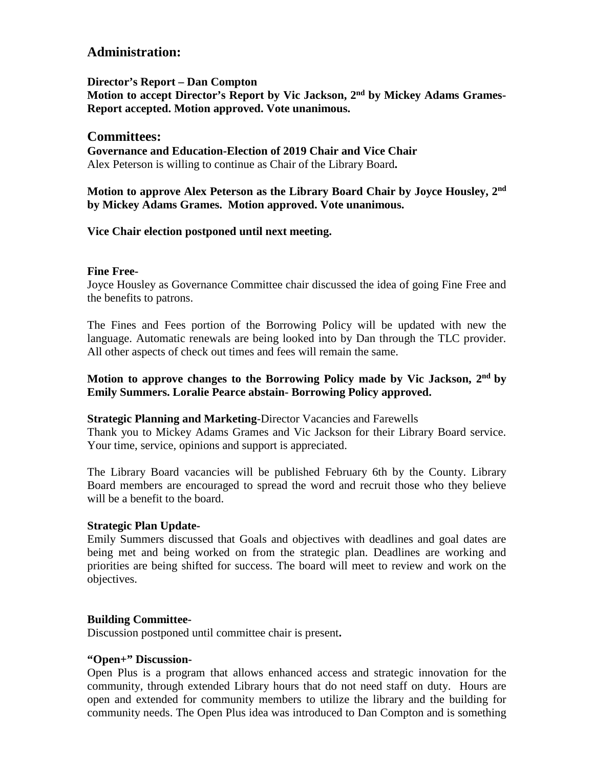# **Administration:**

**Director's Report – Dan Compton**

**Motion to accept Director's Report by Vic Jackson, 2nd by Mickey Adams Grames-Report accepted. Motion approved. Vote unanimous.**

## **Committees:**

**Governance and Education-Election of 2019 Chair and Vice Chair** Alex Peterson is willing to continue as Chair of the Library Board**.** 

**Motion to approve Alex Peterson as the Library Board Chair by Joyce Housley, 2nd by Mickey Adams Grames. Motion approved. Vote unanimous.**

## **Vice Chair election postponed until next meeting.**

#### **Fine Free-**

Joyce Housley as Governance Committee chair discussed the idea of going Fine Free and the benefits to patrons.

The Fines and Fees portion of the Borrowing Policy will be updated with new the language. Automatic renewals are being looked into by Dan through the TLC provider. All other aspects of check out times and fees will remain the same.

## **Motion to approve changes to the Borrowing Policy made by Vic Jackson, 2nd by Emily Summers. Loralie Pearce abstain- Borrowing Policy approved.**

#### **Strategic Planning and Marketing**-Director Vacancies and Farewells

Thank you to Mickey Adams Grames and Vic Jackson for their Library Board service. Your time, service, opinions and support is appreciated.

The Library Board vacancies will be published February 6th by the County. Library Board members are encouraged to spread the word and recruit those who they believe will be a benefit to the board.

#### **Strategic Plan Update-**

Emily Summers discussed that Goals and objectives with deadlines and goal dates are being met and being worked on from the strategic plan. Deadlines are working and priorities are being shifted for success. The board will meet to review and work on the objectives.

#### **Building Committee-**

Discussion postponed until committee chair is present**.** 

#### **"Open+" Discussion-**

Open Plus is a program that allows enhanced access and strategic innovation for the community, through extended Library hours that do not need staff on duty. Hours are open and extended for community members to utilize the library and the building for community needs. The Open Plus idea was introduced to Dan Compton and is something